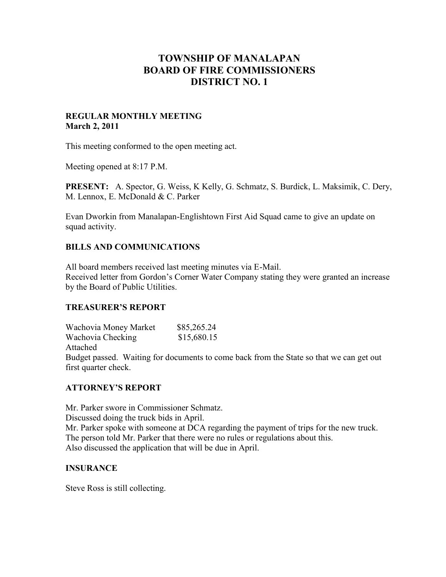# **TOWNSHIP OF MANALAPAN BOARD OF FIRE COMMISSIONERS DISTRICT NO. 1**

#### **REGULAR MONTHLY MEETING March 2, 2011**

This meeting conformed to the open meeting act.

Meeting opened at 8:17 P.M.

**PRESENT:** A. Spector, G. Weiss, K Kelly, G. Schmatz, S. Burdick, L. Maksimik, C. Dery, M. Lennox, E. McDonald & C. Parker

Evan Dworkin from Manalapan-Englishtown First Aid Squad came to give an update on squad activity.

# **BILLS AND COMMUNICATIONS**

All board members received last meeting minutes via E-Mail. Received letter from Gordon's Corner Water Company stating they were granted an increase by the Board of Public Utilities.

# **TREASURER'S REPORT**

Wachovia Money Market \$85,265.24 Wachovia Checking \$15,680.15 Attached Budget passed. Waiting for documents to come back from the State so that we can get out first quarter check.

# **ATTORNEY'S REPORT**

Mr. Parker swore in Commissioner Schmatz. Discussed doing the truck bids in April. Mr. Parker spoke with someone at DCA regarding the payment of trips for the new truck. The person told Mr. Parker that there were no rules or regulations about this. Also discussed the application that will be due in April.

# **INSURANCE**

Steve Ross is still collecting.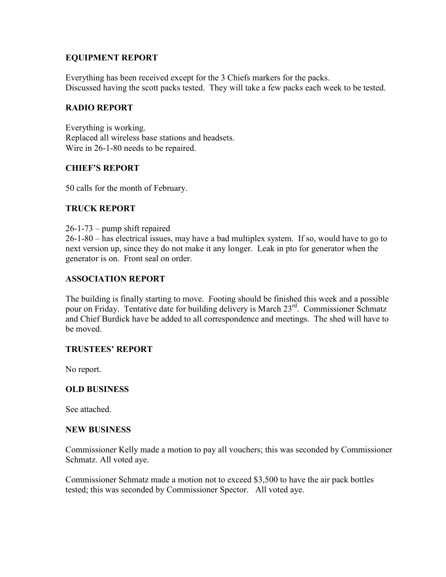# **EQUIPMENT REPORT**

Everything has been received except for the 3 Chiefs markers for the packs. Discussed having the scott packs tested. They will take a few packs each week to be tested.

# **RADIO REPORT**

Everything is working. Replaced all wireless base stations and headsets. Wire in 26-1-80 needs to be repaired.

# **CHIEF'S REPORT**

50 calls for the month of February.

# **TRUCK REPORT**

26-1-73 – pump shift repaired

26-1-80 – has electrical issues, may have a bad multiplex system. If so, would have to go to next version up, since they do not make it any longer. Leak in pto for generator when the generator is on. Front seal on order.

# **ASSOCIATION REPORT**

The building is finally starting to move. Footing should be finished this week and a possible pour on Friday. Tentative date for building delivery is March 23<sup>rd</sup>. Commissioner Schmatz and Chief Burdick have be added to all correspondence and meetings. The shed will have to be moved.

# **TRUSTEES' REPORT**

No report.

# **OLD BUSINESS**

See attached.

#### **NEW BUSINESS**

Commissioner Kelly made a motion to pay all vouchers; this was seconded by Commissioner Schmatz. All voted aye.

Commissioner Schmatz made a motion not to exceed \$3,500 to have the air pack bottles tested; this was seconded by Commissioner Spector. All voted aye.